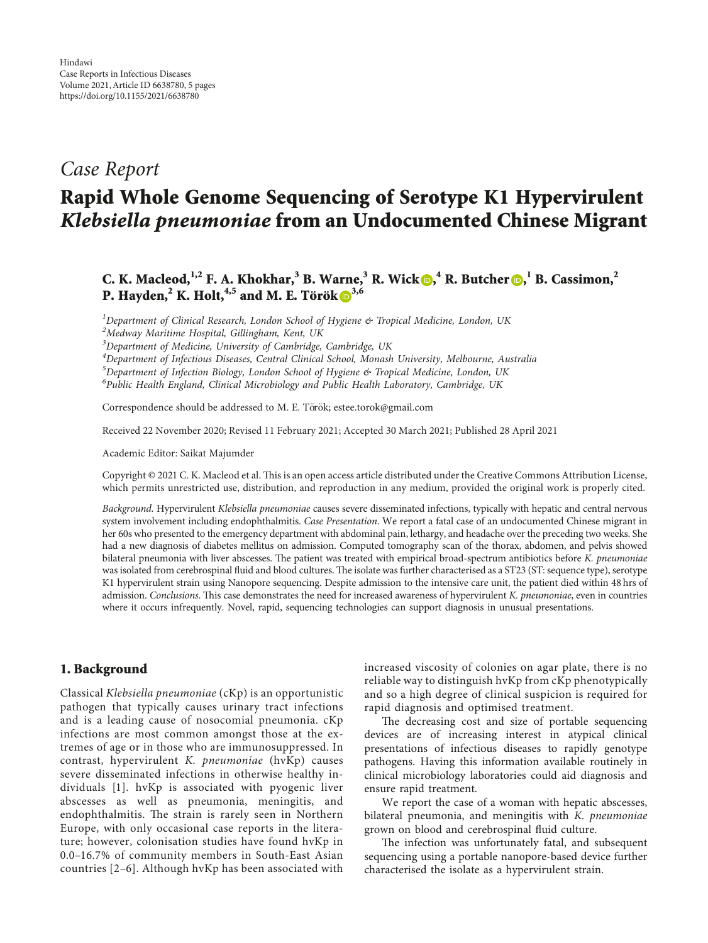## *Case Report*

# **Rapid Whole Genome Sequencing of Serotype K1 Hypervirulent** *Klebsiella pneumoniae* **from an Undocumented Chinese Migrant**

### **C. K. Macleod,1,2 F. A. Khokhar,<sup>3</sup> B. Warne,3 R. Wick , <sup>4</sup> R. Butcher [,](https://orcid.org/0000-0003-0435-2655) <sup>1</sup> B. Cassimon,<sup>2</sup> P.** Hayden,<sup>2</sup> **K.** Holt,<sup>4,5</sup> and M. E. Török $\mathbb{D}^{3,6}$

*1 Department of Clinical Research, London School of Hygiene & Tropical Medicine, London, UK 2 Medway Maritime Hospital, Gillingham, Kent, UK*

*3 Department of Medicine, University of Cambridge, Cambridge, UK*

*4 Department of Infectious Diseases, Central Clinical School, Monash University, Melbourne, Australia*

*5 Department of Infection Biology, London School of Hygiene & Tropical Medicine, London, UK*

*6 Public Health England, Clinical Microbiology and Public Health Laboratory, Cambridge, UK*

Correspondence should be addressed to M. E. Török; [estee.torok@gmail.com](mailto:estee.torok@gmail.com)

Received 22 November 2020; Revised 11 February 2021; Accepted 30 March 2021; Published 28 April 2021

Academic Editor: Saikat Majumder

Copyright @ 2021 C. K. Macleod et al. This is an open access article distributed under the [Creative Commons Attribution License](https://creativecommons.org/licenses/by/4.0/), which permits unrestricted use, distribution, and reproduction in any medium, provided the original work is properly cited.

*Background*. Hypervirulent *Klebsiella pneumoniae* causes severe disseminated infections, typically with hepatic and central nervous system involvement including endophthalmitis. *Case Presentation*. We report a fatal case of an undocumented Chinese migrant in her 60s who presented to the emergency department with abdominal pain, lethargy, and headache over the preceding two weeks. She had a new diagnosis of diabetes mellitus on admission. Computed tomography scan of the thorax, abdomen, and pelvis showed bilateral pneumonia with liver abscesses. The patient was treated with empirical broad-spectrum antibiotics before *K. pneumoniae* was isolated from cerebrospinal fluid and blood cultures. The isolate was further characterised as a ST23 (ST: sequence type), serotype K1 hypervirulent strain using Nanopore sequencing. Despite admission to the intensive care unit, the patient died within 48 hrs of admission. *Conclusions*. This case demonstrates the need for increased awareness of hypervirulent *K. pneumoniae*, even in countries where it occurs infrequently. Novel, rapid, sequencing technologies can support diagnosis in unusual presentations.

#### **1. Background**

Classical *Klebsiella pneumoniae* (cKp) is an opportunistic pathogen that typically causes urinary tract infections and is a leading cause of nosocomial pneumonia. cKp infections are most common amongst those at the extremes of age or in those who are immunosuppressed. In contrast, hypervirulent *K. pneumoniae* (hvKp) causes severe disseminated infections in otherwise healthy individuals [[1](#page-3-0)]. hvKp is associated with pyogenic liver abscesses as well as pneumonia, meningitis, and endophthalmitis. The strain is rarely seen in Northern Europe, with only occasional case reports in the literature; however, colonisation studies have found hvKp in 0.0–16.7% of community members in South-East Asian countries [[2–6\]](#page-3-0). Although hvKp has been associated with

increased viscosity of colonies on agar plate, there is no reliable way to distinguish hvKp from cKp phenotypically and so a high degree of clinical suspicion is required for rapid diagnosis and optimised treatment.

The decreasing cost and size of portable sequencing devices are of increasing interest in atypical clinical presentations of infectious diseases to rapidly genotype pathogens. Having this information available routinely in clinical microbiology laboratories could aid diagnosis and ensure rapid treatment.

We report the case of a woman with hepatic abscesses, bilateral pneumonia, and meningitis with *K. pneumoniae* grown on blood and cerebrospinal fluid culture.

The infection was unfortunately fatal, and subsequent sequencing using a portable nanopore-based device further characterised the isolate as a hypervirulent strain.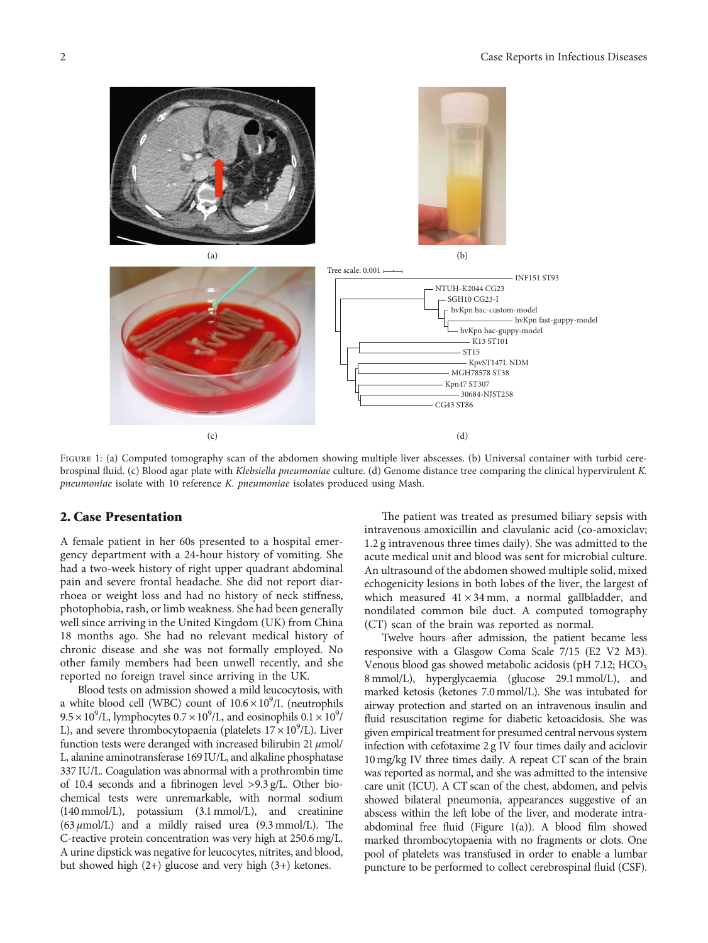<span id="page-1-0"></span>

FIGURE 1: (a) Computed tomography scan of the abdomen showing multiple liver abscesses. (b) Universal container with turbid cerebrospinal fluid. (c) Blood agar plate with *Klebsiella pneumoniae* culture. (d) Genome distance tree comparing the clinical hypervirulent *K. pneumoniae* isolate with 10 reference *K. pneumoniae* isolates produced using Mash.

#### **2. Case Presentation**

A female patient in her 60s presented to a hospital emergency department with a 24-hour history of vomiting. She had a two-week history of right upper quadrant abdominal pain and severe frontal headache. She did not report diarrhoea or weight loss and had no history of neck stiffness, photophobia, rash, or limb weakness. She had been generally well since arriving in the United Kingdom (UK) from China 18 months ago. She had no relevant medical history of chronic disease and she was not formally employed. No other family members had been unwell recently, and she reported no foreign travel since arriving in the UK.

Blood tests on admission showed a mild leucocytosis, with a white blood cell (WBC) count of  $10.6 \times 10^9$ /L (neutrophils  $9.5 \times 10^9$ /L, lymphocytes  $0.7 \times 10^9$ /L, and eosinophils  $0.1 \times 10^9$ / L), and severe thrombocytopaenia (platelets  $17 \times 10^9$ /L). Liver function tests were deranged with increased bilirubin 21 *μ*mol/ L, alanine aminotransferase 169 IU/L, and alkaline phosphatase 337 IU/L. Coagulation was abnormal with a prothrombin time of 10.4 seconds and a fibrinogen level >9.3 g/L. Other biochemical tests were unremarkable, with normal sodium (140 mmol/L), potassium (3.1 mmol/L), and creatinine  $(63 \mu$ mol/L) and a mildly raised urea  $(9.3 \text{ mmol/L})$ . The C-reactive protein concentration was very high at 250.6 mg/L. A urine dipstick was negative for leucocytes, nitrites, and blood, but showed high (2+) glucose and very high (3+) ketones.

The patient was treated as presumed biliary sepsis with intravenous amoxicillin and clavulanic acid (co-amoxiclav; 1.2 g intravenous three times daily). She was admitted to the acute medical unit and blood was sent for microbial culture. An ultrasound of the abdomen showed multiple solid, mixed echogenicity lesions in both lobes of the liver, the largest of which measured  $41 \times 34$  mm, a normal gallbladder, and nondilated common bile duct. A computed tomography (CT) scan of the brain was reported as normal.

Twelve hours after admission, the patient became less responsive with a Glasgow Coma Scale 7/15 (E2 V2 M3). Venous blood gas showed metabolic acidosis (pH 7.12; HCO<sub>3</sub> 8 mmol/L), hyperglycaemia (glucose 29.1 mmol/L), and marked ketosis (ketones 7.0 mmol/L). She was intubated for airway protection and started on an intravenous insulin and fluid resuscitation regime for diabetic ketoacidosis. She was given empirical treatment for presumed central nervous system infection with cefotaxime 2 g IV four times daily and aciclovir 10 mg/kg IV three times daily. A repeat CT scan of the brain was reported as normal, and she was admitted to the intensive care unit (ICU). A CT scan of the chest, abdomen, and pelvis showed bilateral pneumonia, appearances suggestive of an abscess within the left lobe of the liver, and moderate intraabdominal free fluid (Figure 1(a)). A blood film showed marked thrombocytopaenia with no fragments or clots. One pool of platelets was transfused in order to enable a lumbar puncture to be performed to collect cerebrospinal fluid (CSF).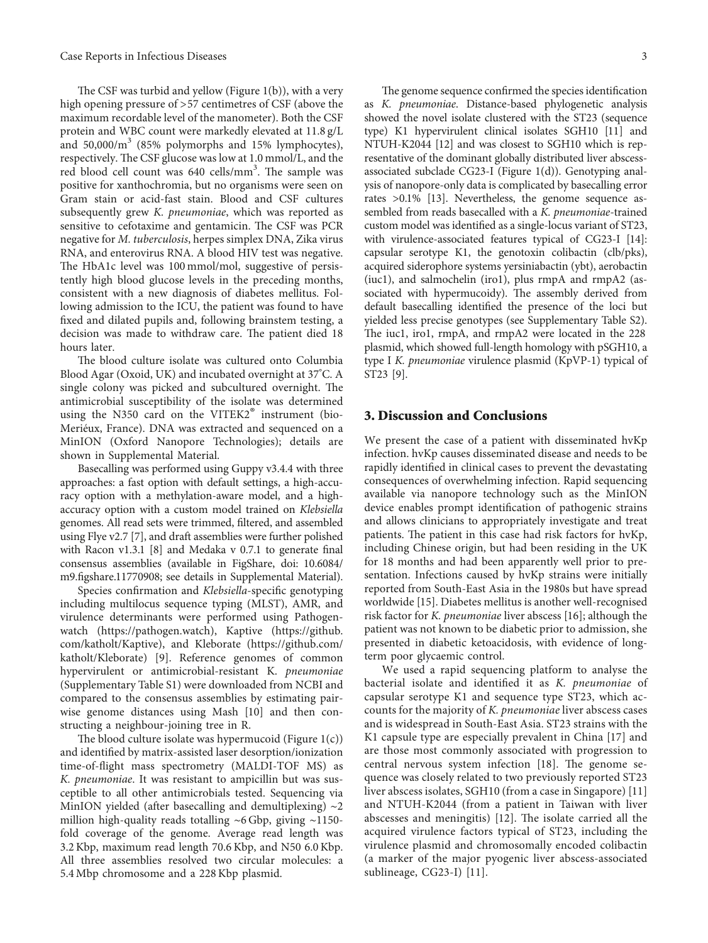The CSF was turbid and yellow (Figure  $1(b)$ ), with a very high opening pressure of >57 centimetres of CSF (above the maximum recordable level of the manometer). Both the CSF protein and WBC count were markedly elevated at 11.8 g/L and  $50,000/m<sup>3</sup>$  (85% polymorphs and 15% lymphocytes), respectively. The CSF glucose was low at 1.0 mmol/L, and the red blood cell count was 640 cells/mm<sup>3</sup>. The sample was positive for xanthochromia, but no organisms were seen on Gram stain or acid-fast stain. Blood and CSF cultures subsequently grew *K. pneumoniae*, which was reported as sensitive to cefotaxime and gentamicin. The CSF was PCR negative for *M. tuberculosis*, herpes simplex DNA, Zika virus RNA, and enterovirus RNA. A blood HIV test was negative. The HbA1c level was 100 mmol/mol, suggestive of persistently high blood glucose levels in the preceding months, consistent with a new diagnosis of diabetes mellitus. Following admission to the ICU, the patient was found to have fixed and dilated pupils and, following brainstem testing, a decision was made to withdraw care. The patient died 18 hours later.

The blood culture isolate was cultured onto Columbia Blood Agar (Oxoid, UK) and incubated overnight at 37°C. A single colony was picked and subcultured overnight. The antimicrobial susceptibility of the isolate was determined using the N350 card on the VITEK2<sup>®</sup> instrument (bio-Meriéux, France). DNA was extracted and sequenced on a MinION (Oxford Nanopore Technologies); details are shown in Supplemental Material.

Basecalling was performed using Guppy v3.4.4 with three approaches: a fast option with default settings, a high-accuracy option with a methylation-aware model, and a highaccuracy option with a custom model trained on *Klebsiella* genomes. All read sets were trimmed, filtered, and assembled using Flye v2.7 [\[7\]](#page-3-0), and draft assemblies were further polished with Racon v1.3.1 [\[8\]](#page-3-0) and Medaka v 0.7.1 to generate final consensus assemblies (available in FigShare, doi: 10.6084/ m9.figshare.11770908; see details in Supplemental Material).

Species confirmation and *Klebsiella*-specific genotyping including multilocus sequence typing (MLST), AMR, and virulence determinants were performed using Pathogenwatch ([https://pathogen.watch](https://pathogen.watch/)), Kaptive ([https://github.](https://github.com/katholt/Kaptive) [com/katholt/Kaptive](https://github.com/katholt/Kaptive)), and Kleborate ([https://github.com/](https://github.com/katholt/Kleborate) [katholt/Kleborate](https://github.com/katholt/Kleborate)) [\[9\]](#page-3-0). Reference genomes of common hypervirulent or antimicrobial-resistant K. *pneumoniae* (Supplementary Table [S1](#page-3-0)) were downloaded from NCBI and compared to the consensus assemblies by estimating pairwise genome distances using Mash [\[10](#page-3-0)] and then constructing a neighbour-joining tree in R.

The blood culture isolate was hypermucoid (Figure  $1(c)$ ) and identified by matrix-assisted laser desorption/ionization time-of-flight mass spectrometry (MALDI-TOF MS) as *K. pneumoniae*. It was resistant to ampicillin but was susceptible to all other antimicrobials tested. Sequencing via MinION yielded (after basecalling and demultiplexing) ∼2 million high-quality reads totalling ∼6 Gbp, giving ∼1150 fold coverage of the genome. Average read length was 3.2 Kbp, maximum read length 70.6 Kbp, and N50 6.0 Kbp. All three assemblies resolved two circular molecules: a 5.4 Mbp chromosome and a 228 Kbp plasmid.

The genome sequence confirmed the species identification as *K. pneumoniae*. Distance-based phylogenetic analysis showed the novel isolate clustered with the ST23 (sequence type) K1 hypervirulent clinical isolates SGH10 [\[11](#page-3-0)] and NTUH-K2044 [[12](#page-4-0)] and was closest to SGH10 which is representative of the dominant globally distributed liver abscessassociated subclade CG23-I (Figure [1\(d\)](#page-1-0)). Genotyping analysis of nanopore-only data is complicated by basecalling error rates >0.1% [[13\]](#page-4-0). Nevertheless, the genome sequence assembled from reads basecalled with a *K. pneumoniae*-trained custom model was identified as a single-locus variant of ST23, with virulence-associated features typical of CG23-I [[14](#page-4-0)]: capsular serotype K1, the genotoxin colibactin (clb/pks), acquired siderophore systems yersiniabactin (ybt), aerobactin (iuc1), and salmochelin (iro1), plus rmpA and rmpA2 (associated with hypermucoidy). The assembly derived from default basecalling identified the presence of the loci but yielded less precise genotypes (see Supplementary Table [S2](#page-3-0)). The iuc1, iro1, rmpA, and rmpA2 were located in the 228 plasmid, which showed full-length homology with pSGH10, a type I *K. pneumoniae* virulence plasmid (KpVP-1) typical of ST23 [[9](#page-3-0)].

#### **3. Discussion and Conclusions**

We present the case of a patient with disseminated hvKp infection. hvKp causes disseminated disease and needs to be rapidly identified in clinical cases to prevent the devastating consequences of overwhelming infection. Rapid sequencing available via nanopore technology such as the MinION device enables prompt identification of pathogenic strains and allows clinicians to appropriately investigate and treat patients. The patient in this case had risk factors for hvKp, including Chinese origin, but had been residing in the UK for 18 months and had been apparently well prior to presentation. Infections caused by hvKp strains were initially reported from South-East Asia in the 1980s but have spread worldwide [[15\]](#page-4-0). Diabetes mellitus is another well-recognised risk factor for *K. pneumoniae* liver abscess [[16\]](#page-4-0); although the patient was not known to be diabetic prior to admission, she presented in diabetic ketoacidosis, with evidence of longterm poor glycaemic control.

We used a rapid sequencing platform to analyse the bacterial isolate and identified it as *K. pneumoniae* of capsular serotype K1 and sequence type ST23, which accounts for the majority of *K. pneumoniae* liver abscess cases and is widespread in South-East Asia. ST23 strains with the K1 capsule type are especially prevalent in China [\[17](#page-4-0)] and are those most commonly associated with progression to central nervous system infection  $[18]$  $[18]$  $[18]$ . The genome sequence was closely related to two previously reported ST23 liver abscess isolates, SGH10 (from a case in Singapore) [\[11\]](#page-3-0) and NTUH-K2044 (from a patient in Taiwan with liver abscesses and meningitis)  $[12]$ . The isolate carried all the acquired virulence factors typical of ST23, including the virulence plasmid and chromosomally encoded colibactin (a marker of the major pyogenic liver abscess-associated sublineage, CG23-I) [[11](#page-3-0)].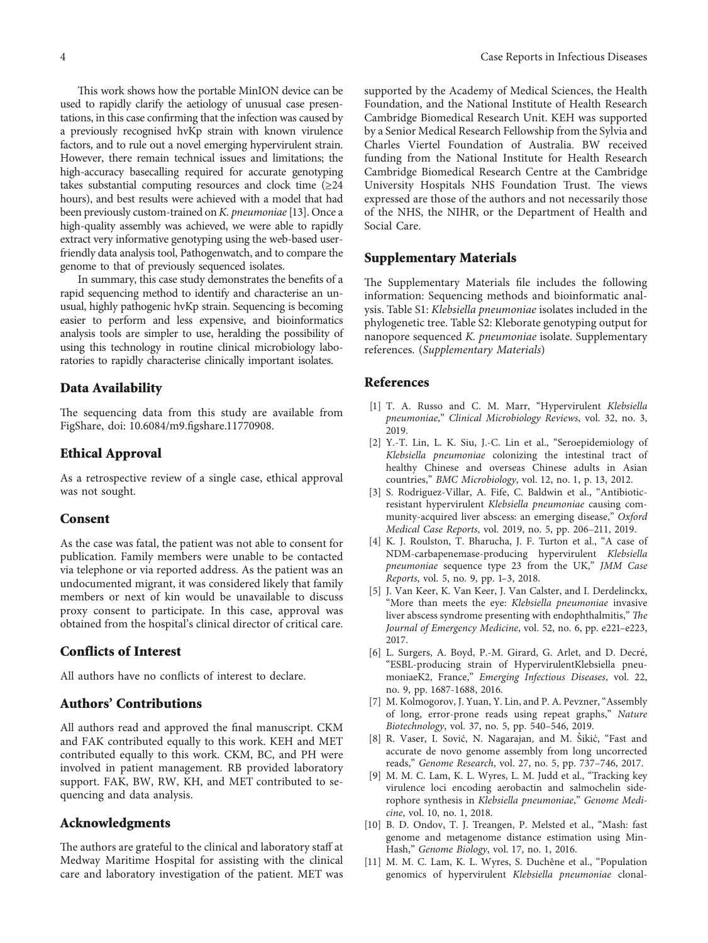<span id="page-3-0"></span>This work shows how the portable MinION device can be used to rapidly clarify the aetiology of unusual case presentations, in this case confirming that the infection was caused by a previously recognised hvKp strain with known virulence factors, and to rule out a novel emerging hypervirulent strain. However, there remain technical issues and limitations; the high-accuracy basecalling required for accurate genotyping takes substantial computing resources and clock time  $(\geq 24)$ hours), and best results were achieved with a model that had been previously custom-trained on *K. pneumoniae* [\[13\]](#page-4-0). Once a high-quality assembly was achieved, we were able to rapidly extract very informative genotyping using the web-based userfriendly data analysis tool, Pathogenwatch, and to compare the genome to that of previously sequenced isolates.

In summary, this case study demonstrates the benefits of a rapid sequencing method to identify and characterise an unusual, highly pathogenic hvKp strain. Sequencing is becoming easier to perform and less expensive, and bioinformatics analysis tools are simpler to use, heralding the possibility of using this technology in routine clinical microbiology laboratories to rapidly characterise clinically important isolates.

#### **Data Availability**

The sequencing data from this study are available from FigShare, doi: [10.6084/m9.figshare.11770908](http://dx.doi.org/https://figshare.com/articles/Assembly_files/11770908).

#### **Ethical Approval**

As a retrospective review of a single case, ethical approval was not sought.

#### **Consent**

As the case was fatal, the patient was not able to consent for publication. Family members were unable to be contacted via telephone or via reported address. As the patient was an undocumented migrant, it was considered likely that family members or next of kin would be unavailable to discuss proxy consent to participate. In this case, approval was obtained from the hospital's clinical director of critical care.

#### **Conflicts of Interest**

All authors have no conflicts of interest to declare.

#### **Authors' Contributions**

All authors read and approved the final manuscript. CKM and FAK contributed equally to this work. KEH and MET contributed equally to this work. CKM, BC, and PH were involved in patient management. RB provided laboratory support. FAK, BW, RW, KH, and MET contributed to sequencing and data analysis.

#### **Acknowledgments**

The authors are grateful to the clinical and laboratory staff at Medway Maritime Hospital for assisting with the clinical care and laboratory investigation of the patient. MET was

supported by the Academy of Medical Sciences, the Health Foundation, and the National Institute of Health Research Cambridge Biomedical Research Unit. KEH was supported by a Senior Medical Research Fellowship from the Sylvia and Charles Viertel Foundation of Australia. BW received funding from the National Institute for Health Research Cambridge Biomedical Research Centre at the Cambridge University Hospitals NHS Foundation Trust. The views expressed are those of the authors and not necessarily those of the NHS, the NIHR, or the Department of Health and Social Care.

#### **Supplementary Materials**

The Supplementary Materials file includes the following information: Sequencing methods and bioinformatic analysis. Table S1: *Klebsiella pneumoniae* isolates included in the phylogenetic tree. Table S2: Kleborate genotyping output for nanopore sequenced *K. pneumoniae* isolate. Supplementary references. (*[Supplementary Materials](https://downloads.hindawi.com/journals/criid/2021/6638780.f1.docx)*)

#### **References**

- [1] T. A. Russo and C. M. Marr, "Hypervirulent *Klebsiella pneumoniae*," *Clinical Microbiology Reviews*, vol. 32, no. 3, 2019.
- [2] Y.-T. Lin, L. K. Siu, J.-C. Lin et al., "Seroepidemiology of *Klebsiella pneumoniae* colonizing the intestinal tract of healthy Chinese and overseas Chinese adults in Asian countries," *BMC Microbiology*, vol. 12, no. 1, p. 13, 2012.
- [3] S. Rodriguez-Villar, A. Fife, C. Baldwin et al., "Antibioticresistant hypervirulent *Klebsiella pneumoniae* causing community-acquired liver abscess: an emerging disease," *Oxford Medical Case Reports*, vol. 2019, no. 5, pp. 206–211, 2019.
- [4] K. J. Roulston, T. Bharucha, J. F. Turton et al., "A case of NDM-carbapenemase-producing hypervirulent *Klebsiella pneumoniae* sequence type 23 from the UK," *JMM Case Reports*, vol. 5, no. 9, pp. 1–3, 2018.
- [5] J. Van Keer, K. Van Keer, J. Van Calster, and I. Derdelinckx, "More than meets the eye: *Klebsiella pneumoniae* invasive liver abscess syndrome presenting with endophthalmitis," The *Journal of Emergency Medicine*, vol. 52, no. 6, pp. e221–e223, 2017.
- [6] L. Surgers, A. Boyd, P.-M. Girard, G. Arlet, and D. Decré, "ESBL-producing strain of HypervirulentKlebsiella pneumoniaeK2, France," *Emerging Infectious Diseases*, vol. 22, no. 9, pp. 1687-1688, 2016.
- [7] M. Kolmogorov, J. Yuan, Y. Lin, and P. A. Pevzner, "Assembly of long, error-prone reads using repeat graphs," *Nature Biotechnology*, vol. 37, no. 5, pp. 540–546, 2019.
- [8] R. Vaser, I. Sović, N. Nagarajan, and M. Šikić, "Fast and accurate de novo genome assembly from long uncorrected reads," *Genome Research*, vol. 27, no. 5, pp. 737–746, 2017.
- [9] M. M. C. Lam, K. L. Wyres, L. M. Judd et al., "Tracking key virulence loci encoding aerobactin and salmochelin siderophore synthesis in *Klebsiella pneumoniae*," *Genome Medicine*, vol. 10, no. 1, 2018.
- [10] B. D. Ondov, T. J. Treangen, P. Melsted et al., "Mash: fast genome and metagenome distance estimation using Min-Hash," *Genome Biology*, vol. 17, no. 1, 2016.
- [11] M. M. C. Lam, K. L. Wyres, S. Duchêne et al., "Population genomics of hypervirulent *Klebsiella pneumoniae* clonal-